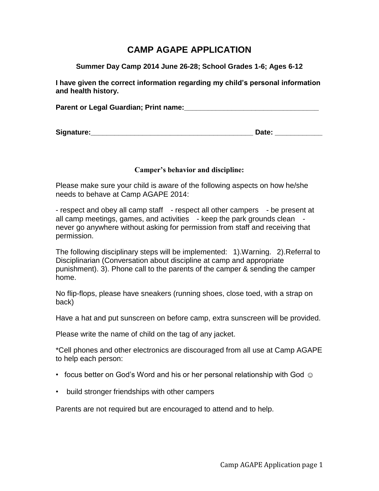### **CAMP AGAPE APPLICATION**

**Summer Day Camp 2014 June 26-28; School Grades 1-6; Ages 6-12**

**I have given the correct information regarding my child's personal information and health history.** 

Parent or Legal Guardian; Print name: **Network** 

#### **Camper's behavior and discipline:**

Please make sure your child is aware of the following aspects on how he/she needs to behave at Camp AGAPE 2014:

| - respect and obey all camp staff - respect all other campers - be present at |
|-------------------------------------------------------------------------------|
| all camp meetings, games, and activities - keep the park grounds clean -      |
| never go anywhere without asking for permission from staff and receiving that |
| permission.                                                                   |

The following disciplinary steps will be implemented: 1).Warning. 2).Referral to Disciplinarian (Conversation about discipline at camp and appropriate punishment). 3). Phone call to the parents of the camper & sending the camper home.

No flip-flops, please have sneakers (running shoes, close toed, with a strap on back)

Have a hat and put sunscreen on before camp, extra sunscreen will be provided.

Please write the name of child on the tag of any jacket.

\*Cell phones and other electronics are discouraged from all use at Camp AGAPE to help each person:

- focus better on God's Word and his or her personal relationship with God  $\odot$
- build stronger friendships with other campers

Parents are not required but are encouraged to attend and to help.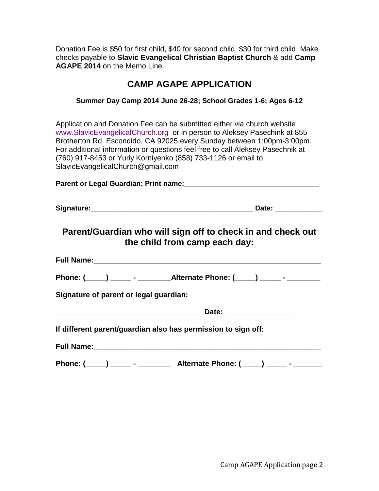Donation Fee is \$50 for first child, \$40 for second child, \$30 for third child. Make checks payable to **Slavic Evangelical Christian Baptist Church** & add **Camp AGAPE 2014** on the Memo Line.

# **CAMP AGAPE APPLICATION**

### **Summer Day Camp 2014 June 26-28; School Grades 1-6; Ages 6-12**

Application and Donation Fee can be submitted either via church website [www.SlavicEvangelicalChurch.org](http://www.slavicevangelicalchurch.org/) or in person to Aleksey Pasechink at 855 Brotherton Rd, Escondido, CA 92025 every Sunday between 1:00pm-3:00pm. For additional information or questions feel free to call Aleksey Pasechnik at (760) 917-8453 or Yuriy Korniyenko (858) 733-1126 or email to SlavicEvangelicalChurch@gmail.com

#### **Parent or Legal Guardian; Print name:\_\_\_\_\_\_\_\_\_\_\_\_\_\_\_\_\_\_\_\_\_\_\_\_\_\_\_\_\_\_\_\_\_\_**

### **Parent/Guardian who will sign off to check in and check out the child from camp each day:**

| <b>Full Name:</b>                      |  |
|----------------------------------------|--|
|                                        |  |
| Signature of parent or legal guardian: |  |
| Date:                                  |  |

**If different parent/guardian also has permission to sign off:**

| <b>Full Name:</b> |  |  |  |  |
|-------------------|--|--|--|--|
|                   |  |  |  |  |
|                   |  |  |  |  |

**Phone: (\_\_\_\_\_) \_\_\_\_\_ - \_\_\_\_\_\_\_\_ Alternate Phone: (\_\_\_\_\_) \_\_\_\_\_ - \_\_\_\_\_\_\_**